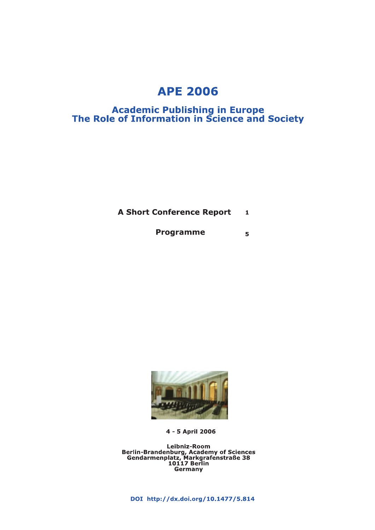### **APE 2006**

# **Academic Publishing in Europe<br>The Role of Information in Science and Society**

**A Short Conference Report**  $\mathbf{1}$ 

> **Programme**  $\overline{5}$



4 - 5 April 2006

Leibniz-Room<br>Berlin-Brandenburg, Academy of Sciences<br>Gendarmenplatz, Markgrafenstraße 38<br>10117 Berlin<br>Germany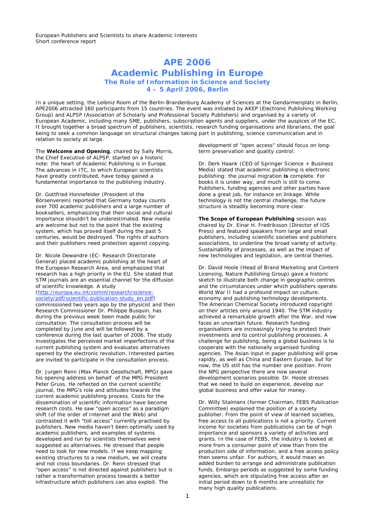### **APE 2006 Academic Publishing in Europe The Role of Information in Science and Society 4 – 5 April 2006, Berlin**

In a unique setting, the Leibniz Room of the Berlin-Brandenburg Academy of Sciences at the Gendarmenplatz in Berlin, APE2006 attracted 160 participants from 15 countries. The event was initiated by AKEP (Electronic Publishing Working Group) and ALPSP (Association of Scholarly and Professional Society Publishers) and organised by a variety of European Academic, including many SME, publishers, subscription agents and suppliers, under the auspices of the EC. It brought together a broad spectrum of publishers, scientists, research funding organisations and librarians, the goal being to seek a common language on structural changes taking part in publishing, science communication and in relation to society at large.

The **Welcome and Opening**, chaired by Sally Morris, the Chief Executive of ALPSP, started on a historic note: the heart of Academic Publishing is in Europe. The advances in ITC, to which European scientists have greatly contributed, have today gained a fundamental importance to the publishing industry.

Dr. Gottfried Honnefelder (President of the Börsenverein) reported that Germany today counts over 700 academic publishers and a large number of booksellers, emphasizing that their social and cultural importance shouldn't be underestimated. New media are welcome but not to the point that the existing system, which has proved itself during the past 5 centuries, would be destroyed. The rights of authors and their publishers need protection against copying.

Dr. Nicole Dewandre (EC- Research Directorate General) placed academic publishing at the heart of the European Research Area, and emphasized that research has a high priority in the EU. She stated that STM journals are an essential channel for the diffusion of scientific knowledge. A study

(http://europa.eu.int/comm/research/sciencesociety/pdf/scientific-publication-study\_en.pdf) commissioned two years ago by the physicist and then Research Commissioner Dr. Philippe Busquin, has during the previous week been made public for consultation. The consultation process will be completed by June and will be followed by a conference during the last quarter of 2006. The study investigates the perceived market imperfections of the current publishing system and evaluates alternatives opened by the electronic revolution. Interested parties are invited to participate in the consultation process.

Dr. Jurgen Renn (Max Planck Gesellschaft, MPG) gave his opening address on behalf of the MPG President Peter Gruss. He reflected on the current scientific journal, the MPG's role and attitudes towards the current academic publishing process. Costs for the dissemination of scientific information have become research costs. He saw "open access" as a paradigm shift (of the order of Internet and the Web) and contrasted it with "toll access" currently practised by publishers. New media haven't been optimally used by academic publishers, and examples of systems developed and run by scientists themselves were suggested as alternatives. He stressed that people need to look for new models. If we keep mapping existing structures to a new medium, we will create and not cross boundaries. Dr. Renn stressed that "open access" is not directed against publishers but is rather a transformation process towards a better infrastructure which publishers can also exploit. The

development of "open access" should focus on longterm preservation and quality control.

Dr. Derk Haank (CEO of Springer Science + Business Media) stated that academic publishing is electronic publishing: the journal migration **is** complete. For books it is under way, and much is still to come. Publishers, funding agencies and other parties have done a great job, for instance on linkage. While technology is not the central challenge, the future structure is steadily becoming more clear.

**The Scope of European Publishing** session was chaired by Dr. Einar H. Fredriksson (Director of IOS Press) and featured speakers from large and small publishers, including scientific societies and publishers associations, to underline the broad variety of activity. Sustainability of processes, as well as the impact of new technologies and legislation, are central themes.

Dr. David Hoole (Head of Brand Marketing and Content Licensing, Nature Publishing Group) gave a historic sketch to illustrate both change in geographic centres and the circumstances under which publishers operate. World War II had a profound impact on culture. economy and publishing technology developments. The American Chemical Society introduced copyright on their articles only around 1940. The STM industry achieved a remarkable growth after the War, and now faces an uncertain future. Research funding organisations are increasingly trying to protect their investments and to control publishing processes. A challenge for publishing, being a global business is to cooperate with the nationally organised funding agencies. The Asian input in paper publishing will grow rapidly, as well as China and Eastern Europe, but for now, the US still has the number one position. From the NPG perspective there are now several development scenarios possible. Dr. Hoole stresses that we need to build on experience, develop our global business and offer value for money.

Dr. Willy Stalmans (former Chairman, FEBS Publication Committee) explained the position of a society publisher. From the point of view of learned societies, free access to all publications is not a priority. Current income for societies from publications can be of high importance and sponsors a variety of activities and grants. In the case of FEBS, the industry is looked at more from a consumer point of view than from the production side of information, and a free access policy then seems unfair. For authors, it would mean an added burden to arrange and administrate publication funds. Embargo periods as suggested by some funding agencies, which are stipulating free access after an initial period down to 6 months are unrealistic for many high quality publications.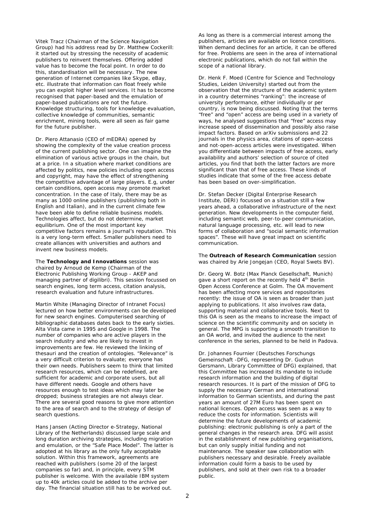Vitek Tracz (Chairman of the Science Navigation Group) had his address read by Dr. Matthew Cockerill: it started out by stressing the necessity of academic publishers to reinvent themselves. Offering added value has to become the focal point. In order to do this, standardisation will be necessary. The new generation of Internet companies like Skype, eBay, etc. illustrate that information can float freely while you can exploit higher level services. It has to become recognised that paper-based and the emulation of paper-based publications are not the future. Knowledge structuring, tools for knowledge evaluation, collective knowledge of communities, semantic enrichment, mining tools, were all seen as fair game for the future publisher.

Dr. Piero Attanasio (CEO of mEDRA) opened by showing the complexity of the value creation process of the current publishing sector. One can imagine the elimination of various active groups in the chain, but at a price. In a situation where market conditions are affected by politics, new policies including open access and copyright, may have the effect of strengthening the competitive advantage of large players. E.g, under certain conditions, open access may promote market concentration. In the case of Italy, there may be as many as 1000 online publishers (publishing both in English and Italian), and in the current climate few have been able to define reliable business models. Technologies affect, but do not determine, market equilibrium. One of the most important key competitive factors remains a journal's reputation. This is a very long-term effect. Smaller publishers need to create alliances with universities and authors and invent new business models.

The **Technology and Innovations** session was chaired by Arnoud de Kemp (Chairman of the Electronic Publishing Working Group - AKEP and managing partner of digilibri). This session focussed on search engines, long term access, citation analysis, research evaluation and future infrastructures.

Martin White (Managing Director of Intranet Focus) lectured on how better environments can be developed for new search engines. Computerised searching of bibliographic databases dates back to the early sixties. Alta Vista came in 1995 and Google in 1998. The number of companies who are active players in the search industry and who are likely to invest in improvements are few. He reviewed the linking of thesauri and the creation of ontologies. "Relevance" is a very difficult criterion to evaluate; everyone has their own needs. Publishers seem to think that limited research resources, which can be redefined, are sufficient for academic and corporate users, but all have different needs. Google and others have resources enough to test ideas which may later be dropped; business strategies are not always clear. There are several good reasons to give more attention to the area of search and to the strategy of design of search questions.

Hans Jansen (Acting Director e-Strategy, National Library of the Netherlands) discussed large scale and long duration archiving strategies, including migration and emulation, or the "Safe Place Model". The latter is adopted at his library as the only fully acceptable solution. Within this framework, agreements are reached with publishers (some 20 of the largest companies so far) and, in principle, every STM publisher is welcome. With the available IBM system up to 40k articles could be added to the archive per day. The financial situation still has to be worked out.

As long as there is a commercial interest among the publishers, articles are available on licence conditions. When demand declines for an article, it can be offered for free. Problems are seen in the area of international electronic publications, which do not fall within the scope of a national library.

Dr. Henk F. Moed (Centre for Science and Technology Studies, Leiden University) started out from the observation that the structure of the academic system in a country determines "ranking": the increase of university performance, either individually or per country, is now being discussed. Noting that the terms "free" and "open" access are being used in a variety of ways, he analysed suggestions that "free" access may increase speed of dissemination and possibly also raise impact factors. Based on arXiv submissions and 22 journals in the physics area, citations of open-access and not-open-access articles were investigated. When you differentiate between impacts of free access, early availability and authors' selection of source of cited articles, you find that both the latter factors are more significant than that of free access. These kinds of studies indicate that some of the free access debate has been based on over-simplification.

Dr. Stefan Decker (Digital Enterprise Research Institute, DERI) focussed on a situation still a few years ahead, a collaborative infrastructure of the next generation. New developments in the computer field, including semantic web, peer-to-peer communication, natural language processing, etc. will lead to new forms of collaboration and "social semantic information spaces". These will have great impact on scientific communication.

The **Outreach of Research Communication** session was chaired by Arie Jongejan (CEO, Royal Swets BV).

Dr. Georg W. Botz (Max Planck Gesellschaft, Munich) gave a short report on the recently held 4<sup>th</sup> Berlin Open Access Conference at Golm. The OA movement has been affecting more services and repositories recently: the issue of OA is seen as broader than just applying to publications. It also involves raw data, supporting material and collaborative tools. Next to this OA is seen as the means to increase the impact of science on the scientific community and on society in general. The MPG is supporting a smooth transition to an OA world, and invited the audience to the next conference in the series, planned to be held in Padova.

Dr. Johannes Fournier (Deutsches Forschungs Gemeinschaft -DFG, representing Dr. Gudrun Gersmann, Library Committee of DFG) explained, that this Committee has increased its mandate to include research information and the building of digital research resources. It is part of the mission of DFG to supply the necessary German and international information to German scientists, and during the past years an amount of 27M Euro has been spent on national licences. Open access was seen as a way to reduce the costs for information. Scientists will determine the future developments of academic publishing: electronic publishing is only a part of the general changes in the research area. DFG will assist in the establishment of new publishing organisations, but can only supply initial funding and not maintenance. The speaker saw collaboration with publishers necessary and desirable. Freely available information could form a basis to be used by publishers, and sold at their own risk to a broader public.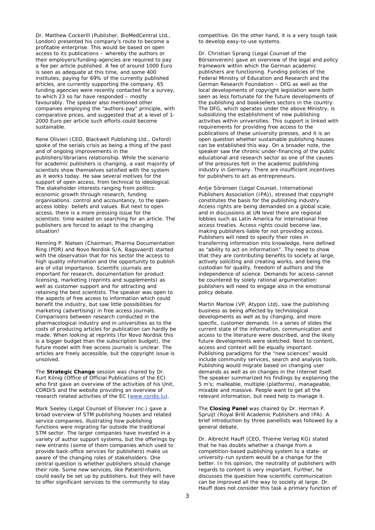Dr. Matthew Cockerill (Publisher, BioMedCentral Ltd., London) presented his company's route to become a profitable enterprise. This would be based on open access to its publications – whereby the authors or their employers/funding-agencies are required to pay a fee per article published. A fee of around 1000 Euro is seen as adequate at this time, and some 400 institutes, paying for 69% of the currently published articles, are currently supporting the company. 65 funding agencies were recently contacted for a survey, to which 23 so far have responded – mostly favourably. The speaker also mentioned other companies employing the "authors-pay" principle, with comparative prices, and suggested that at a level of 1- 2000 Euro per article such efforts could become sustainable.

Rene Olivieri (CEO, Blackwell Publishing Ltd., Oxford) spoke of the serials crisis as being a thing of the past and of ongoing improvements in the publishers/librarians relationship. While the scenario for academic publishers is changing, a vast majority of scientists show themselves satisfied with the system as it works today. He saw several motives for the support of open access, from technical to ideological. The stakeholder interests ranging from politics: economic growth through research, funding organisations: control and accountancy, to the openaccess lobby: beliefs and values. But next to open access, there is a more pressing issue for the scientists: time wasted on searching for an article. The publishers are forced to adapt to the changing situation!

Henning P. Nielsen (Chairman, Pharma Documentation Ring (PDR) and Novo Nordisk S/A, Bagsvaerd) started with the observation that for his sector the access to high quality information and the opportunity to publish are of vital importance. Scientific journals are important for research, documentation for product licensing, marketing (reprints and supplements) as well as customer support and for attracting and retaining the best scientists. The speaker was open to the aspects of free access to information which could benefit the industry, but saw little possibilities for marketing (advertising) in free access journals. Comparisons between research conducted in the pharmacological industry and in universities as to the costs of producing articles for publication can hardly be made. When looking at reprints (for Novo Nordisk this is a bigger budget than the subscription budget), the future model with free access journals is unclear. The articles are freely accessible, but the copyright issue is unsolved.

The **Strategic Change** session was chaired by Dr. Kurt König (Office of Official Publications of the EC) who first gave an overview of the activities of his Unit, CORDIS and the website providing an overview of research related activities of the EC (www.cordis.lu).

Mark Seeley (Legal Counsel of Elsevier Inc.) gave a broad overview of STM publishing houses and related service companies, illustrating how publishing functions were migrating far outside the traditional STM sector. The larger companies have invested in a variety of author support systems, but the offerings by new entrants (some of them companies which used to provide back-office services for publishers) make us aware of the changing roles of stakeholders. One central question is whether publishers should change their role. Some new services, like PatientInform, could easily be set up by publishers, but they will have to offer significant services to the community to stay

competitive. On the other hand, it is a very tough task to develop easy-to-use systems.

Dr. Christian Sprang (Legal Counsel of the Börsenverein) gave an overview of the legal and policy framework within which the German academic publishers are functioning. Funding policies of the Federal Ministry of Education and Research and the German Research Foundation – DFG as well as the local developments of copyright legislation were both seen as less fortunate for the future developments of the publishing and booksellers sectors in the country. The DFG, which operates under the above Ministry, is subsidizing the establishment of new publishing activities within universities. This support is linked with requirements for providing free access to the publications of these university presses, and it is an open question whether sustainable publishing houses can be established this way. On a broader note, the speaker saw the chronic under-financing of the public educational and research sector as one of the causes of the pressures felt in the academic publishing industry in Germany. There are insufficient incentives for publishers to act as entrepreneurs.

Antje Sörensen (Legal Counsel, International Publishers Association (IPA)), stressed that copyright constitutes the basis for the publishing industry. Access rights are being demanded on a global scale, and in discussions at UN level there are regional lobbies such as Latin America for international free access treaties. Access rights could become law, making publishers liable for not providing access. Publishers will need to specify their roles in transferring information into knowledge, here defined as "ability to act on information". Thy need to show that they are contributing benefits to society at large, actively soliciting and creating works, and being the custodian for quality, freedom of authors and the independence of science. Demands for access cannot be countered by solely rational argumentation: publishers will need to engage also in the emotional policy debate.

Martin Marlow (VP, Atypon Ltd), saw the publishing business as being affected by technological developments as well as by changing, and more specific, customer demands. In a series of slides the current state of the information, communication and access to the literature were described, and the likely future developments were sketched. Next to content, access and context will be equally important. Publishing paradigms for the "new sciences" would include community services, search and analysis tools. Publishing would migrate based on changing user demands as well as on changes in the Internet itself. The speaker summarized his findings by explaining the 5 m's; malleable, multiple (platforms), manageable, mixable and massive. People want to get all the relevant information, but need help to manage it.

The **Closing Panel** was chaired by Dr. Herman P. Spruijt (Royal Brill Academic Publishers and IPA). A brief introduction by three panellists was followed by a general debate.

Dr. Albrecht Hauff (CEO, Thieme Verlag KG) stated that he has doubts whether a change from a competition-based publishing system to a state- or university-run system would be a change for the better. In his opinion, the neutrality of publishers with regards to content is very important. Further, he discusses the question how scientific communication can be improved all the way to society at large. Dr. Hauff does not consider this task a primary function of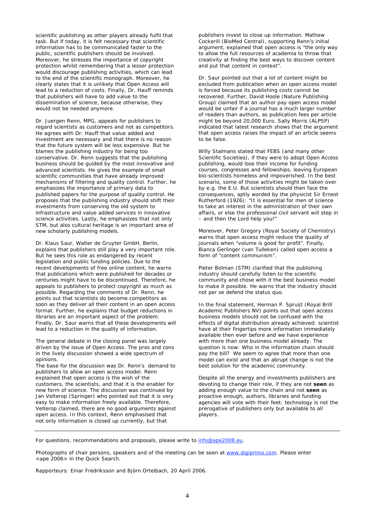scientific publishing as other players already fulfil that task. But if today, it is felt necessary that scientific information has to be communicated faster to the public, scientific publishers should be involved. Moreover, he stresses the importance of copyright protection whilst remembering that a lesser protection would discourage publishing activities, which can lead to the end of the scientific monograph. Moreover, he clearly states that it is unlikely that Open Access will lead to a reduction of costs. Finally, Dr. Hauff reminds that publishers will have to add value to the dissemination of science, because otherwise, they would not be needed anymore.

Dr. Juergen Renn, MPG, appeals for publishers to regard scientists as customers and not as competitors. He agrees with Dr. Hauff that value added and investment are necessary and that there is no reason that the future system will be less expensive. But he blames the publishing industry for being too conservative. Dr. Renn suggests that the publishing business should be guided by the most innovative and advanced scientists. He gives the example of small scientific communities that have already improved mechanisms of filtering and quality control. Further, he emphasizes the importance of primary data to published papers for the purpose of quality control. He proposes that the publishing industry should shift their investments from conserving the old system to infrastructure and value added services in innovative science activities. Lastly, he emphasizes that not only STM, but also cultural heritage is an important area of new scholarly publishing models.

Dr. Klaus Saur, Walter de Gruyter GmbH, Berlin, explains that publishers still play a very important role. But he sees this role as endangered by recent legislation and public funding policies. Due to the recent developments of free online content, he warns that publications which were published for decades or centuries might have to be discontinued. Therefore, he appeals to publishers to protect copyright as much as possible. Regarding the comments of Dr. Renn, he points out that scientists *do* become competitors as soon as they deliver all their content in an open access format. Further, he explains that budget reductions in libraries are an important aspect of the problem. Finally, Dr. Saur warns that all these developments will lead to a reduction in the quality of information.

The general debate in the closing panel was largely driven by the issue of Open Access. The pros and cons in the lively discussion showed a wide spectrum of opinions.

The base for the discussion was Dr. Renn's demand to publishers to allow an open access model. Renn explained that open access is the wish of the customers, the scientists, and that it is the enabler for new form of science. The discussion was continued by Jan Velterop (Springer) who pointed out that it is very easy to make information freely available. Therefore, Velterop claimed, there are no good arguments against open access. In this context, Renn emphasised that not only information is closed up currently, but that

publishers invest to close up information. Mathew Cockerill (BioMed Central), supporting Renn's initial argument, explained that open access is "the only way to allow the full resources of academia to throw that creativity at finding the best ways to discover content and put that content in context".

Dr. Saur pointed out that a lot of content might be excluded from publication when an open access model is forced because its publishing costs cannot be recovered. Further, David Hoole (Nature Publishing Group) claimed that an author pay open access model would be unfair if a journal has a much larger number of readers than authors, as publication fees per article might be beyond 20,000 Euro. Sally Morris (ALPSP) indicated that latest research shows that the argument that open access raises the impact of an article seems to be false.

Willy Stalmans stated that FEBS (and many other Scientific Societies), if they were to adopt Open Access publishing, would lose their income for funding courses, congresses and fellowships, leaving European bio-scientists homeless and impoverished. In the best scenario, some of those activities might be taken over by e.g. the E.U. But scientists should then face the consequences, aptly worded by the physicist Sir Ernest Rutherford (1926): "It is essential for men of science to take an interest in the administration of their own affairs, or else the professional civil servant will step in – and then the Lord help you!"

Moreover, Peter Gregory (Royal Society of Chemistry) warns that open access might reduce the quality of journals when "volume is good for profit". Finally, Bianca Gerlinger (van Tulleken) called open access a form of "content communism".

Pieter Bolman (STM) clarified that the publishing industry should carefully listen to the scientific community and chose with it the best business model to make it possible. He warns that the industry should not per se defend the status quo.

In the final statement, Herman P. Spruijt (Royal Brill Academic Publishers NV) points out that open access business models should not be confused with the effects of digital distribution already achieved: scientist have at their fingertips more information immediately available then ever before and we have experience with more than one business model already. The question is now: Who in the information chain should pay the bill? We seem to agree that more than one model can exist and that an abrupt change is not the best solution for the academic community.

Despite all the energy and investments publishers are devoting to change their role, if they are not **seen** as adding enough value to the chain and not **seen** as proactive enough, authors, libraries and funding agencies will vote with their feet: technology is not the prerogative of publishers only but available to all players.

For questions, recommendations and proposals, please write to info@ape2008.eu.

Photographs of chair persons, speakers and of the meeting can be seen at www.digiprimo.com. Please enter <ape 2006> in the Quick Search.

Rapporteurs: Einar Fredriksson and Björn Ortelbach, 20 April 2006.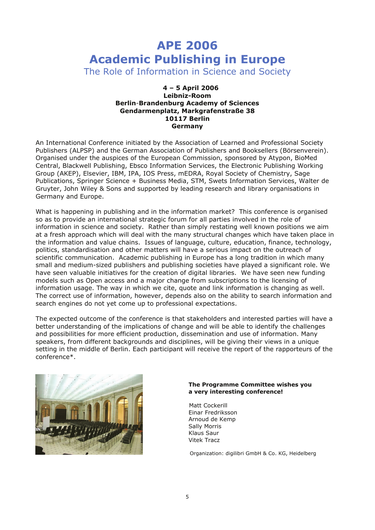## **APE 2006 Academic Publishing in Europe**

The Role of Information in Science and Society

#### **4 – 5 April 2006 Leibniz-Room Berlin**-**Brandenburg Academy of Sciences Gendarmenplatz, Markgrafenstraße 38 10117 Berlin Germany**

An International Conference initiated by the Association of Learned and Professional Society Publishers (ALPSP) and the German Association of Publishers and Booksellers (Börsenverein). Organised under the auspices of the European Commission, sponsored by Atypon, BioMed Central, Blackwell Publishing, Ebsco Information Services, the Electronic Publishing Working Group (AKEP), Elsevier, IBM, IPA, IOS Press, mEDRA, Royal Society of Chemistry, Sage Publications, Springer Science + Business Media, STM, Swets Information Services, Walter de Gruyter, John Wiley & Sons and supported by leading research and library organisations in Germany and Europe.

What is happening in publishing and in the information market? This conference is organised so as to provide an international strategic forum for all parties involved in the role of information in science and society. Rather than simply restating well known positions we aim at a fresh approach which will deal with the many structural changes which have taken place in the information and value chains. Issues of language, culture, education, finance, technology, politics, standardisation and other matters will have a serious impact on the outreach of scientific communication. Academic publishing in Europe has a long tradition in which many small and medium-sized publishers and publishing societies have played a significant role. We have seen valuable initiatives for the creation of digital libraries. We have seen new funding models such as Open access and a major change from subscriptions to the licensing of information usage. The way in which we cite, quote and link information is changing as well. The correct use of information, however, depends also on the ability to search information and search engines do not yet come up to professional expectations.

The expected outcome of the conference is that stakeholders and interested parties will have a better understanding of the implications of change and will be able to identify the challenges and possibilities for more efficient production, dissemination and use of information. Many speakers, from different backgrounds and disciplines, will be giving their views in a unique setting in the middle of Berlin. Each participant will receive the report of the rapporteurs of the conference\*.



#### **The Programme Committee wishes you a very interesting conference!**

 Matt Cockerill Einar Fredriksson Arnoud de Kemp Sally Morris Klaus Saur Vitek Tracz

Organization: digilibri GmbH & Co. KG, Heidelberg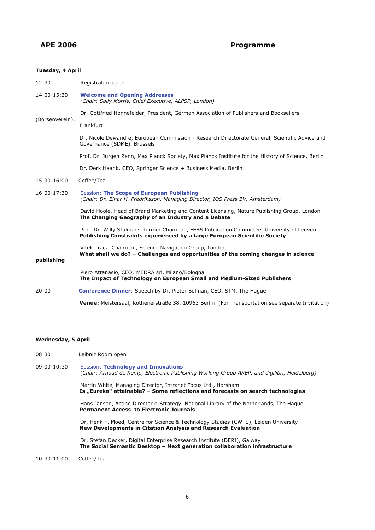### **APE 2006 Programme**

#### **Tuesday, 4 April**

| 12:30           | Registration open                                                                                                                                                        |
|-----------------|--------------------------------------------------------------------------------------------------------------------------------------------------------------------------|
| 14:00-15:30     | <b>Welcome and Opening Addresses</b><br>(Chair: Sally Morris, Chief Executive, ALPSP, London)                                                                            |
| (Börsenverein), | Dr. Gottfried Honnefelder, President, German Association of Publishers and Booksellers                                                                                   |
|                 | Frankfurt                                                                                                                                                                |
|                 | Dr. Nicole Dewandre, European Commission - Research Directorate General, Scientific Advice and<br>Governance (SDME), Brussels                                            |
|                 | Prof. Dr. Jürgen Renn, Max Planck Society, Max Planck Institute for the History of Science, Berlin                                                                       |
|                 | Dr. Derk Haank, CEO, Springer Science + Business Media, Berlin                                                                                                           |
| 15:30-16:00     | Coffee/Tea                                                                                                                                                               |
| 16:00-17:30     | Session: The Scope of European Publishing<br>(Chair: Dr. Einar H. Fredriksson, Managing Director, IOS Press BV, Amsterdam)                                               |
|                 | David Hoole, Head of Brand Marketing and Content Licensing, Nature Publishing Group, London<br>The Changing Geography of an Industry and a Debate                        |
|                 | Prof. Dr. Willy Stalmans, former Chairman, FEBS Publication Committee, University of Leuven<br>Publishing Constraints experienced by a large European Scientific Society |
| publishing      | Vitek Tracz, Chairman, Science Navigation Group, London<br>What shall we do? - Challenges and opportunities of the coming changes in science                             |
|                 | Piero Attanasio, CEO, mEDRA srl, Milano/Bologna<br>The Impact of Technology on European Small and Medium-Sized Publishers                                                |
| 20:00           | <b>Conference Dinner:</b> Speech by Dr. Pieter Bolman, CEO, STM, The Hague                                                                                               |
|                 | Venue: Meistersaal, Köthenerstraße 38, 10963 Berlin (For Transportation see separate Invitation)                                                                         |

#### **Wednesday, 5 April**

- 08:30 Leibniz Room open
- 09:00-10:30 Session: **Technology and Innovations** *(Chair: Arnoud de Kemp, Electronic Publishing Working Group AKEP, and digilibri, Heidelberg)* Martin White, Managing Director, Intranet Focus Ltd., Horsham **Is "Eureka" attainable? – Some reflections and forecasts on search technologies** Hans Jansen, Acting Director e-Strategy, National Library of the Netherlands, The Hague **Permanent Access to Electronic Journals** Dr. Henk F. Moed, Centre for Science & Technology Studies (CWTS), Leiden University **New Developments in Citation Analysis and Research Evaluation** Dr. Stefan Decker, Digital Enterprise Research Institute (DERI), Galway **The Social Semantic Desktop – Next generation collaboration infrastructure** 10:30-11:00 Coffee/Tea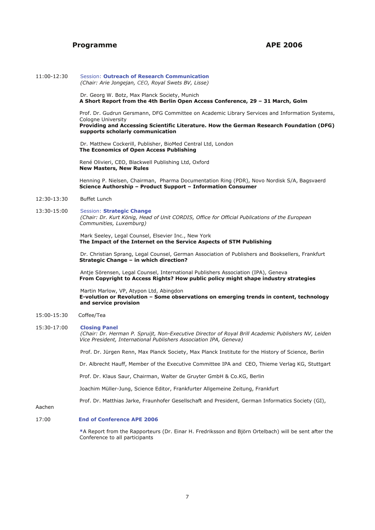#### **Programme APE 2006**

11:00-12:30 Session: **Outreach of Research Communication** *(Chair: Arie Jongejan, CEO, Royal Swets BV, Lisse)*

> Dr. Georg W. Botz, Max Planck Society, Munich **A Short Report from the 4th Berlin Open Access Conference, 29 – 31 March, Golm**

 Prof. Dr. Gudrun Gersmann, DFG Committee on Academic Library Services and Information Systems, Cologne University

#### **Providing and Accessing Scientific Literature. How the German Research Foundation (DFG) supports scholarly communication**

Dr. Matthew Cockerill, Publisher, BioMed Central Ltd, London **The Economics of Open Access Publishing**

 René Olivieri, CEO, Blackwell Publishing Ltd, Oxford **New Masters, New Rules**

 Henning P. Nielsen, Chairman, Pharma Documentation Ring (PDR), Novo Nordisk S/A, Bagsvaerd **Science Authorship – Product Support – Information Consumer**

#### 12:30-13:30 Buffet Lunch

13:30-15:00 Session: **Strategic Change** *(Chair: Dr. Kurt König, Head of Unit CORDIS, Office for Official Publications of the European Communities, Luxemburg)*

> Mark Seeley, Legal Counsel, Elsevier Inc., New York **The Impact of the Internet on the Service Aspects of STM Publishing**

Dr. Christian Sprang, Legal Counsel, German Association of Publishers and Booksellers, Frankfurt **Strategic Change – in which direction?**

Antje Sörensen, Legal Counsel, International Publishers Association (IPA), Geneva **From Copyright to Access Rights? How public policy might shape industry strategies**

Martin Marlow, VP, Atypon Ltd, Abingdon **E-volution or Revolution – Some observations on emerging trends in content, technology and service provision**

#### 15:00-15:30 Coffee/Tea

15:30-17:00 **Closing Panel**

*(Chair: Dr. Herman P. Spruijt, Non-Executive Director of Royal Brill Academic Publishers NV, Leiden Vice President, International Publishers Association IPA, Geneva)*

Prof. Dr. Jürgen Renn, Max Planck Society, Max Planck Institute for the History of Science, Berlin

Dr. Albrecht Hauff, Member of the Executive Committee IPA and CEO, Thieme Verlag KG, Stuttgart

Prof. Dr. Klaus Saur, Chairman, Walter de Gruyter GmbH & Co.KG, Berlin

Joachim Müller-Jung, Science Editor, Frankfurter Allgemeine Zeitung, Frankfurt

Prof. Dr. Matthias Jarke, Fraunhofer Gesellschaft and President, German Informatics Society (GI),

Aachen

#### 17:00 **End of Conference APE 2006**

 **\***A Report from the Rapporteurs (Dr. Einar H. Fredriksson and Björn Ortelbach) will be sent after the Conference to all participants